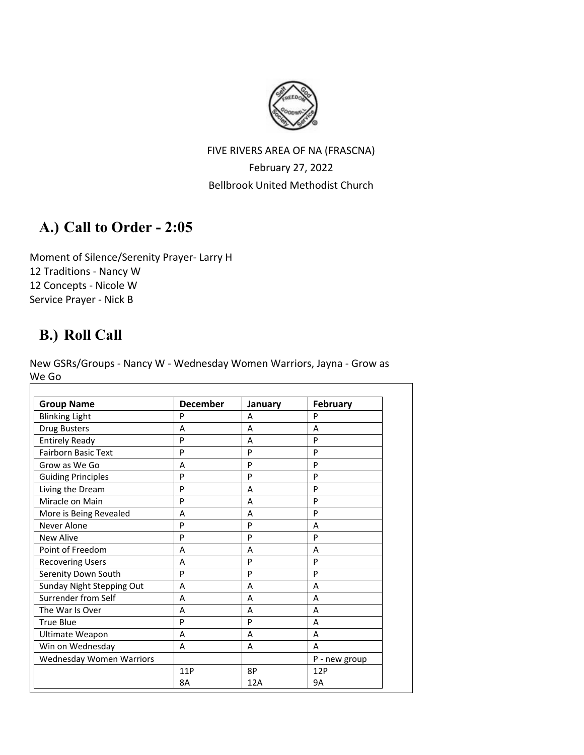

# FIVE RIVERS AREA OF NA (FRASCNA) February 27, 2022 Bellbrook United Methodist Church

# **A.) Call to Order - 2:05**

Moment of Silence/Serenity Prayer- Larry H 12 Traditions - Nancy W 12 Concepts - Nicole W Service Prayer - Nick B

# **B.) Roll Call**

New GSRs/Groups - Nancy W - Wednesday Women Warriors, Jayna - Grow as We Go

| <b>Group Name</b>               | <b>December</b> | January | <b>February</b> |
|---------------------------------|-----------------|---------|-----------------|
| <b>Blinking Light</b>           | P               | A       | P               |
| <b>Drug Busters</b>             | A               | A       | A               |
| <b>Entirely Ready</b>           | P               | A       | P               |
| Fairborn Basic Text             | P               | P       | P               |
| Grow as We Go                   | A               | P       | P               |
| <b>Guiding Principles</b>       | P               | P       | P               |
| Living the Dream                | P               | A       | P               |
| Miracle on Main                 | P               | A       | P               |
| More is Being Revealed          | A               | A       | P               |
| Never Alone                     | P               | P       | A               |
| <b>New Alive</b>                | P               | P       | P               |
| Point of Freedom                | A               | A       | A               |
| <b>Recovering Users</b>         | A               | P       | P               |
| Serenity Down South             | P               | P       | P               |
| Sunday Night Stepping Out       | A               | A       | A               |
| Surrender from Self             | A               | A       | A               |
| The War Is Over                 | A               | A       | A               |
| <b>True Blue</b>                | P               | P       | A               |
| Ultimate Weapon                 | A               | A       | A               |
| Win on Wednesday                | A               | A       | A               |
| <b>Wednesday Women Warriors</b> |                 |         | P - new group   |
|                                 | 11P             | 8P      | 12P             |
|                                 | 8A              | 12A     | 9A              |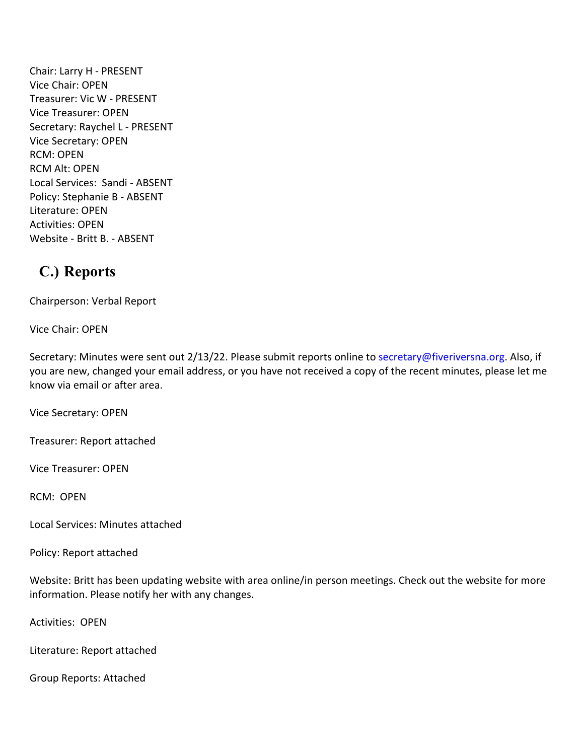Chair: Larry H - PRESENT Vice Chair: OPEN Treasurer: Vic W - PRESENT Vice Treasurer: OPEN Secretary: Raychel L - PRESENT Vice Secretary: OPEN RCM: OPEN RCM Alt: OPEN Local Services: Sandi - ABSENT Policy: Stephanie B - ABSENT Literature: OPEN Activities: OPEN Website - Britt B. - ABSENT

# **C.) Reports**

Chairperson: Verbal Report

Vice Chair: OPEN

Secretary: Minutes were sent out 2/13/22. Please submit reports online to [secretary@fiveriversna.org.](mailto:secretary@fiveriversna.org) Also, if you are new, changed your email address, or you have not received a copy of the recent minutes, please let me know via email or after area.

Vice Secretary: OPEN

Treasurer: Report attached

Vice Treasurer: OPEN

RCM: OPEN

Local Services: Minutes attached

Policy: Report attached

Website: Britt has been updating website with area online/in person meetings. Check out the website for more information. Please notify her with any changes.

Activities: OPEN

Literature: Report attached

Group Reports: Attached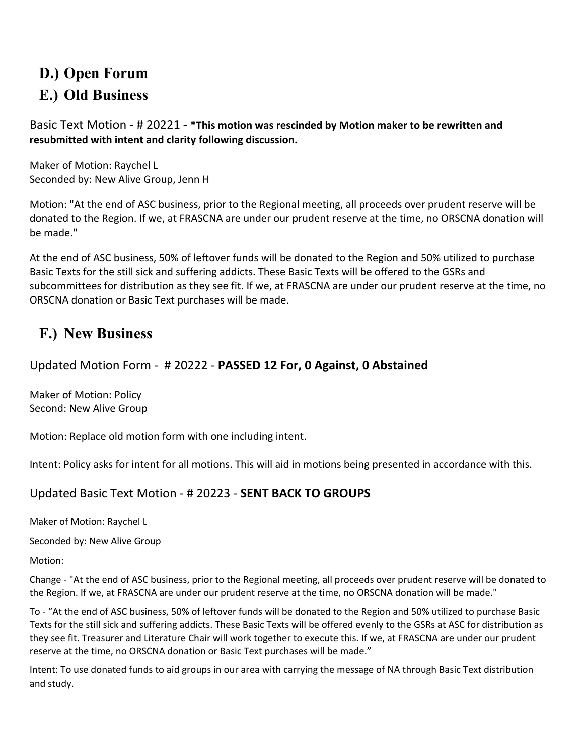# **D.) Open Forum E.) Old Business**

Basic Text Motion - # 20221 - **\*This motion was rescinded by Motion maker to be rewritten and resubmitted with intent and clarity following discussion.**

Maker of Motion: Raychel L Seconded by: New Alive Group, Jenn H

Motion: "At the end of ASC business, prior to the Regional meeting, all proceeds over prudent reserve will be donated to the Region. If we, at FRASCNA are under our prudent reserve at the time, no ORSCNA donation will be made."

At the end of ASC business, 50% of leftover funds will be donated to the Region and 50% utilized to purchase Basic Texts for the still sick and suffering addicts. These Basic Texts will be offered to the GSRs and subcommittees for distribution as they see fit. If we, at FRASCNA are under our prudent reserve at the time, no ORSCNA donation or Basic Text purchases will be made.

# **F.) New Business**

Updated Motion Form - # 20222 - **PASSED 12 For, 0 Against, 0 Abstained** 

Maker of Motion: Policy Second: New Alive Group

Motion: Replace old motion form with one including intent.

Intent: Policy asks for intent for all motions. This will aid in motions being presented in accordance with this.

# Updated Basic Text Motion - # 20223 - **SENT BACK TO GROUPS**

Maker of Motion: Raychel L

Seconded by: New Alive Group

Motion:

Change - "At the end of ASC business, prior to the Regional meeting, all proceeds over prudent reserve will be donated to the Region. If we, at FRASCNA are under our prudent reserve at the time, no ORSCNA donation will be made."

To - "At the end of ASC business, 50% of leftover funds will be donated to the Region and 50% utilized to purchase Basic Texts for the still sick and suffering addicts. These Basic Texts will be offered evenly to the GSRs at ASC for distribution as they see fit. Treasurer and Literature Chair will work together to execute this. If we, at FRASCNA are under our prudent reserve at the time, no ORSCNA donation or Basic Text purchases will be made."

Intent: To use donated funds to aid groups in our area with carrying the message of NA through Basic Text distribution and study.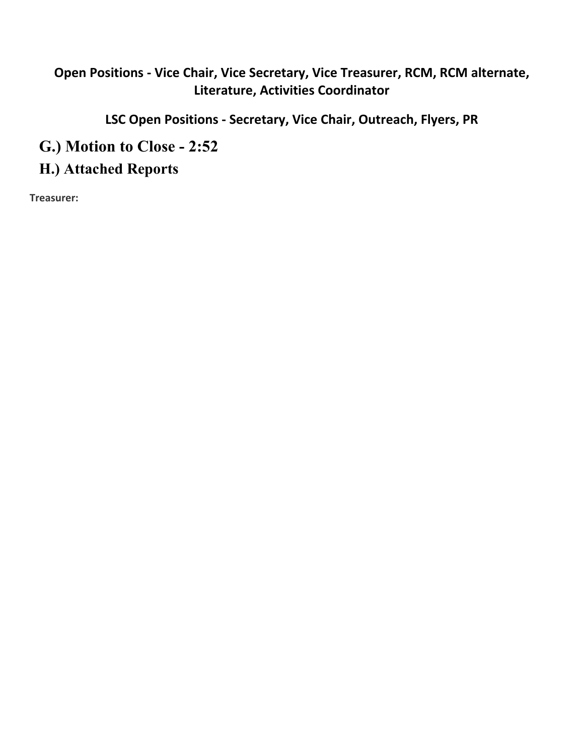# **Open Positions - Vice Chair, Vice Secretary, Vice Treasurer, RCM, RCM alternate, Literature, Activities Coordinator**

**LSC Open Positions - Secretary, Vice Chair, Outreach, Flyers, PR**

**G.) Motion to Close - 2:52**

**H.) Attached Reports**

**Treasurer:**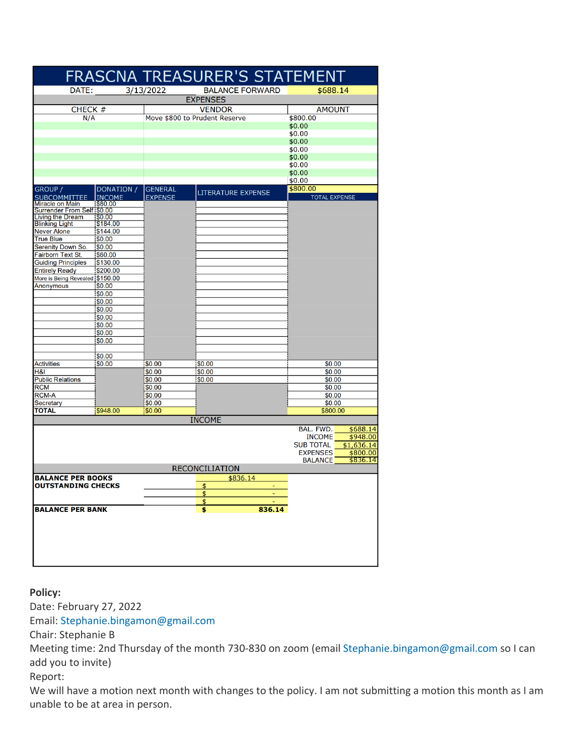|                                                                             |                    |                               | FRASCNA TREASURER'S STATEMENT |        |                      |                      |  |  |  |
|-----------------------------------------------------------------------------|--------------------|-------------------------------|-------------------------------|--------|----------------------|----------------------|--|--|--|
| 3/13/2022<br>DATE:<br><b>BALANCE FORWARD</b><br>\$688.14<br><b>EXPENSES</b> |                    |                               |                               |        |                      |                      |  |  |  |
| CHECK #                                                                     |                    |                               | <b>VENDOR</b>                 |        | <b>AMOUNT</b>        |                      |  |  |  |
| N/A                                                                         |                    | Move \$800 to Prudent Reserve |                               |        | \$800.00             |                      |  |  |  |
|                                                                             |                    |                               |                               |        | \$0.00               |                      |  |  |  |
|                                                                             |                    |                               |                               |        | \$0.00               |                      |  |  |  |
|                                                                             |                    |                               |                               |        | \$0.00               |                      |  |  |  |
|                                                                             |                    |                               |                               |        | \$0.00               |                      |  |  |  |
|                                                                             |                    |                               |                               |        | \$0.00<br>\$0.00     |                      |  |  |  |
|                                                                             |                    |                               |                               |        | \$0.00               |                      |  |  |  |
|                                                                             |                    |                               |                               |        | \$0.00               |                      |  |  |  |
| GROUP /                                                                     | DONATION /         | <b>GENERAL</b>                |                               |        | \$800.00             |                      |  |  |  |
| <b>SUBCOMMITTEE</b>                                                         | <b>INCOME</b>      | <b>EXPENSE</b>                | <b>LITERATURE EXPENSE</b>     |        | <b>TOTAL EXPENSE</b> |                      |  |  |  |
| <b>Miracle on Main</b>                                                      | \$80.00            |                               |                               |        |                      |                      |  |  |  |
| Surrender From Self \$0.00                                                  |                    |                               |                               |        |                      |                      |  |  |  |
| <b>Living the Dream</b>                                                     | \$0.00<br>\$184.00 |                               |                               |        |                      |                      |  |  |  |
| <b>Blinking Light</b><br><b>Never Alone</b>                                 | \$144.00           |                               |                               |        |                      |                      |  |  |  |
| <b>True Blue</b>                                                            | \$0.00             |                               |                               |        |                      |                      |  |  |  |
| <b>Serenity Down So.</b>                                                    | \$0.00             |                               |                               |        |                      |                      |  |  |  |
| Fairborn Text St.                                                           | \$60.00            |                               |                               |        |                      |                      |  |  |  |
| <b>Guiding Principles</b>                                                   | \$130.00           |                               |                               |        |                      |                      |  |  |  |
| <b>Entirely Ready</b>                                                       | \$200.00           |                               |                               |        |                      |                      |  |  |  |
| More is Being Revealed \$150.00                                             |                    |                               |                               |        |                      |                      |  |  |  |
| <b>Anonymous</b>                                                            | \$0.00             |                               |                               |        |                      |                      |  |  |  |
|                                                                             | \$0.00             |                               |                               |        |                      |                      |  |  |  |
|                                                                             | \$0.00             |                               |                               |        |                      |                      |  |  |  |
|                                                                             | \$0.00             |                               |                               |        |                      |                      |  |  |  |
|                                                                             | \$0.00             |                               |                               |        |                      |                      |  |  |  |
|                                                                             | \$0.00             |                               |                               |        |                      |                      |  |  |  |
|                                                                             | \$0.00<br>\$0.00   |                               |                               |        |                      |                      |  |  |  |
|                                                                             |                    |                               |                               |        |                      |                      |  |  |  |
|                                                                             | \$0.00             |                               |                               |        |                      |                      |  |  |  |
| <b>Activities</b>                                                           | \$0.00             | \$0.00                        | \$0.00                        |        | \$0.00               |                      |  |  |  |
| <b>H&amp;I</b>                                                              |                    | \$0.00                        | \$0.00                        |        | \$0.00               |                      |  |  |  |
| <b>Public Relations</b>                                                     |                    | \$0.00                        | \$0.00                        |        | \$0.00               |                      |  |  |  |
| <b>RCM</b>                                                                  |                    | \$0.00                        |                               |        | \$0.00               |                      |  |  |  |
| <b>RCM-A</b>                                                                |                    | \$0.00                        |                               | \$0.00 |                      |                      |  |  |  |
| Secretary                                                                   |                    | \$0.00                        |                               |        | \$0.00               |                      |  |  |  |
| <b>TOTAL</b>                                                                | \$948.00           | \$0.00                        |                               |        | \$800.00             |                      |  |  |  |
|                                                                             |                    |                               | <b>INCOME</b>                 |        |                      |                      |  |  |  |
|                                                                             |                    |                               |                               |        | BAL. FWD.            | \$688.14             |  |  |  |
|                                                                             |                    |                               |                               |        | <b>INCOME</b>        | \$948.00             |  |  |  |
|                                                                             |                    |                               |                               |        | <b>SUB TOTAL</b>     | \$1,636.14           |  |  |  |
|                                                                             |                    |                               |                               |        | <b>EXPENSES</b>      | \$800.00<br>\$836.14 |  |  |  |
|                                                                             |                    |                               | <b>RECONCILIATION</b>         |        | <b>BALANCE</b>       |                      |  |  |  |
|                                                                             |                    |                               |                               |        |                      |                      |  |  |  |
| <b>BALANCE PER BOOKS</b><br><b>OUTSTANDING CHECKS</b>                       |                    |                               | \$836.14                      |        |                      |                      |  |  |  |
|                                                                             |                    |                               | \$                            |        |                      |                      |  |  |  |
|                                                                             |                    |                               | <u>\$</u><br>\$               |        |                      |                      |  |  |  |
| <b>BALANCE PER BANK</b>                                                     |                    |                               |                               | 836.14 |                      |                      |  |  |  |
|                                                                             |                    |                               |                               |        |                      |                      |  |  |  |
|                                                                             |                    |                               |                               |        |                      |                      |  |  |  |
|                                                                             |                    |                               |                               |        |                      |                      |  |  |  |
|                                                                             |                    |                               |                               |        |                      |                      |  |  |  |
|                                                                             |                    |                               |                               |        |                      |                      |  |  |  |
|                                                                             |                    |                               |                               |        |                      |                      |  |  |  |
|                                                                             |                    |                               |                               |        |                      |                      |  |  |  |

**Policy:**

Date: February 27, 2022 Email: Stephanie.bingamon@gmail.com Chair: Stephanie B Meeting time: 2nd Thursday of the month 730-830 on zoom (email Stephanie.bingamon@gmail.com so I can add you to invite) Report: We will have a motion next month with changes to the policy. I am not submitting a motion this month as I am unable to be at area in person.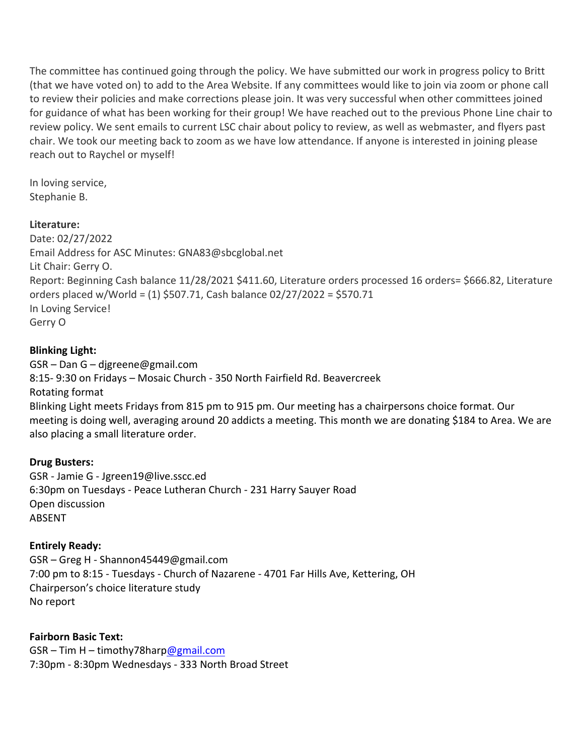The committee has continued going through the policy. We have submitted our work in progress policy to Britt (that we have voted on) to add to the Area Website. If any committees would like to join via zoom or phone call to review their policies and make corrections please join. It was very successful when other committees joined for guidance of what has been working for their group! We have reached out to the previous Phone Line chair to review policy. We sent emails to current LSC chair about policy to review, as well as webmaster, and flyers past chair. We took our meeting back to zoom as we have low attendance. If anyone is interested in joining please reach out to Raychel or myself!

In loving service, Stephanie B.

#### **Literature:**

Date: 02/27/2022 Email Address for ASC Minutes: GNA83@sbcglobal.net Lit Chair: Gerry O. Report: Beginning Cash balance 11/28/2021 \$411.60, Literature orders processed 16 orders= \$666.82, Literature orders placed w/World = (1) \$507.71, Cash balance 02/27/2022 = \$570.71 In Loving Service! Gerry O

# **Blinking Light:**

GSR – Dan G – djgreene@gmail.com 8:15- 9:30 on Fridays – Mosaic Church - 350 North Fairfield Rd. Beavercreek Rotating format Blinking Light meets Fridays from 815 pm to 915 pm. Our meeting has a chairpersons choice format. Our meeting is doing well, averaging around 20 addicts a meeting. This month we are donating \$184 to Area. We are also placing a small literature order.

# **Drug Busters:**

GSR - Jamie G - Jgreen19@live.sscc.ed 6:30pm on Tuesdays - Peace Lutheran Church - 231 Harry Sauyer Road Open discussion ABSENT

# **Entirely Ready:**

GSR – Greg H - Shannon45449@gmail.com 7:00 pm to 8:15 - Tuesdays - Church of Nazarene - 4701 Far Hills Ave, Kettering, OH Chairperson's choice literature study No report

**Fairborn Basic Text:** GSR – Tim H – timothy78har[p@gmail.com](mailto:amymcmahan76@gmail.com) 7:30pm - 8:30pm Wednesdays - 333 North Broad Street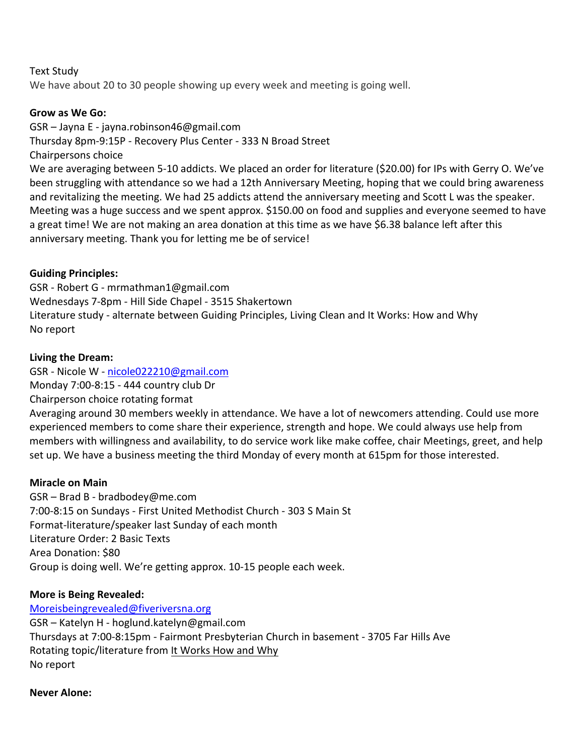#### Text Study

We have about 20 to 30 people showing up every week and meeting is going well.

#### **Grow as We Go:**

GSR – Jayna E - jayna.robinson46@gmail.com Thursday 8pm-9:15P - Recovery Plus Center - 333 N Broad Street Chairpersons choice

We are averaging between 5-10 addicts. We placed an order for literature (\$20.00) for IPs with Gerry O. We've been struggling with attendance so we had a 12th Anniversary Meeting, hoping that we could bring awareness and revitalizing the meeting. We had 25 addicts attend the anniversary meeting and Scott L was the speaker. Meeting was a huge success and we spent approx. \$150.00 on food and supplies and everyone seemed to have a great time! We are not making an area donation at this time as we have \$6.38 balance left after this anniversary meeting. Thank you for letting me be of service!

# **Guiding Principles:**

GSR - Robert G - mrmathman1@gmail.com Wednesdays 7-8pm - Hill Side Chapel - 3515 Shakertown Literature study - alternate between Guiding Principles, Living Clean and It Works: How and Why No report

# **Living the Dream:**

GSR - Nicole W - [nicole022210@gmail.com](mailto:nicole022210@gmail.com) Monday 7:00-8:15 - 444 country club Dr Chairperson choice rotating format Averaging around 30 members weekly in attendance. We have a lot of newcomers attending. Could use more experienced members to come share their experience, strength and hope. We could always use help from members with willingness and availability, to do service work like make coffee, chair Meetings, greet, and help set up. We have a business meeting the third Monday of every month at 615pm for those interested.

# **Miracle on Main**

GSR – Brad B - bradbodey@me.com 7:00-8:15 on Sundays - First United Methodist Church - 303 S Main St Format-literature/speaker last Sunday of each month Literature Order: 2 Basic Texts Area Donation: \$80 Group is doing well. We're getting approx. 10-15 people each week.

# **More is Being Revealed:**

[Moreisbeingrevealed@fiveriversna.org](mailto:Moreisbeingrevealed@fiveriversna.org) GSR – Katelyn H - hoglund.katelyn@gmail.com Thursdays at 7:00-8:15pm - Fairmont Presbyterian Church in basement - 3705 Far Hills Ave Rotating topic/literature from It Works How and Why No report

# **Never Alone:**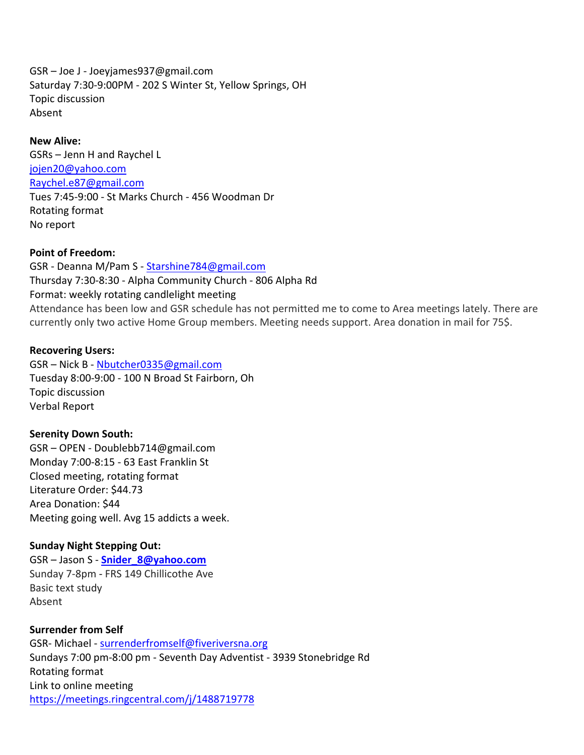GSR – Joe J - Joeyjames937@gmail.com Saturday 7:30-9:00PM - 202 S Winter St, Yellow Springs, OH Topic discussion Absent

**New Alive:** GSRs – Jenn H and Raychel L [jojen20@yahoo.com](mailto:jojen20@yahoo.com) Raychel.e87@gmail.com Tues 7:45-9:00 - St Marks Church - 456 Woodman Dr Rotating format No report

#### **Point of Freedom:**

GSR - Deanna M/Pam S - [Starshine784@gmail.com](mailto:Starshine784@gmail.com) Thursday 7:30-8:30 - Alpha Community Church - 806 Alpha Rd Format: weekly rotating candlelight meeting Attendance has been low and GSR schedule has not permitted me to come to Area meetings lately. There are currently only two active Home Group members. Meeting needs support. Area donation in mail for 75\$.

#### **Recovering Users:**

GSR – Nick B - [Nbutcher0335@gmail.com](mailto:Nbutcher0335@gmail.com) Tuesday 8:00-9:00 - 100 N Broad St Fairborn, Oh Topic discussion Verbal Report

#### **Serenity Down South:**

GSR – OPEN - Doublebb714@gmail.com Monday 7:00-8:15 - 63 East Franklin St Closed meeting, rotating format Literature Order: \$44.73 Area Donation: \$44 Meeting going well. Avg 15 addicts a week.

#### **Sunday Night Stepping Out:**

GSR – Jason S - **[Snider\\_8@yahoo.com](mailto:Snider_8@yahoo.com)** Sunday 7-8pm - FRS 149 Chillicothe Ave Basic text study Absent

#### **Surrender from Self**

GSR- Michael - [surrenderfromself@fiveriversna.org](mailto:surrenderfromself@fiveriversna.org) Sundays 7:00 pm-8:00 pm - Seventh Day Adventist - 3939 Stonebridge Rd Rotating format Link to online meeting <https://meetings.ringcentral.com/j/1488719778>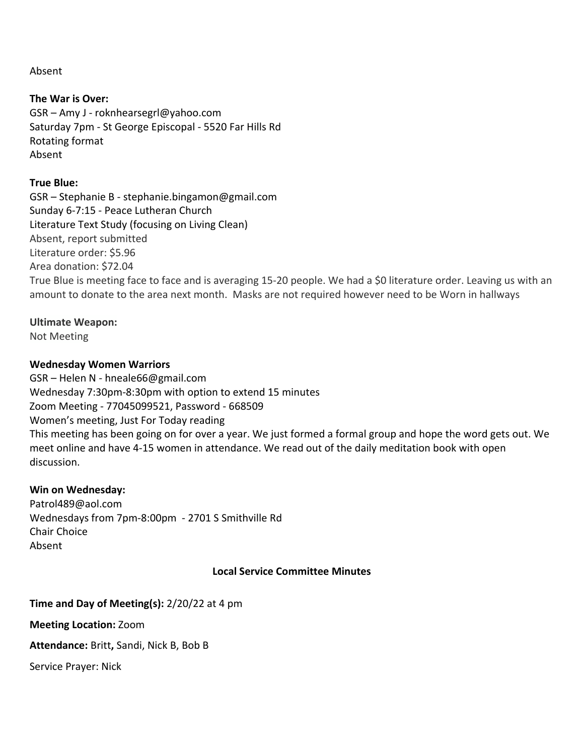Absent

**The War is Over:** GSR – Amy J - roknhearsegrl@yahoo.com Saturday 7pm - St George Episcopal - 5520 Far Hills Rd Rotating format Absent

#### **True Blue:**

GSR – Stephanie B - stephanie.bingamon@gmail.com Sunday 6-7:15 - Peace Lutheran Church Literature Text Study (focusing on Living Clean) Absent, report submitted Literature order: \$5.96 Area donation: \$72.04 True Blue is meeting face to face and is averaging 15-20 people. We had a \$0 literature order. Leaving us with an amount to donate to the area next month. Masks are not required however need to be Worn in hallways

# **Ultimate Weapon:**

Not Meeting

# **Wednesday Women Warriors**

GSR – Helen N - hneale66@gmail.com Wednesday 7:30pm-8:30pm with option to extend 15 minutes Zoom Meeting - 77045099521, Password - 668509 Women's meeting, Just For Today reading This meeting has been going on for over a year. We just formed a formal group and hope the word gets out. We meet online and have 4-15 women in attendance. We read out of the daily meditation book with open discussion.

#### **Win on Wednesday:**

Patrol489@aol.com Wednesdays from 7pm-8:00pm - 2701 S Smithville Rd Chair Choice Absent

#### **Local Service Committee Minutes**

**Time and Day of Meeting(s):** 2/20/22 at 4 pm

**Meeting Location:** Zoom

**Attendance:** Britt**,** Sandi, Nick B, Bob B

Service Prayer: Nick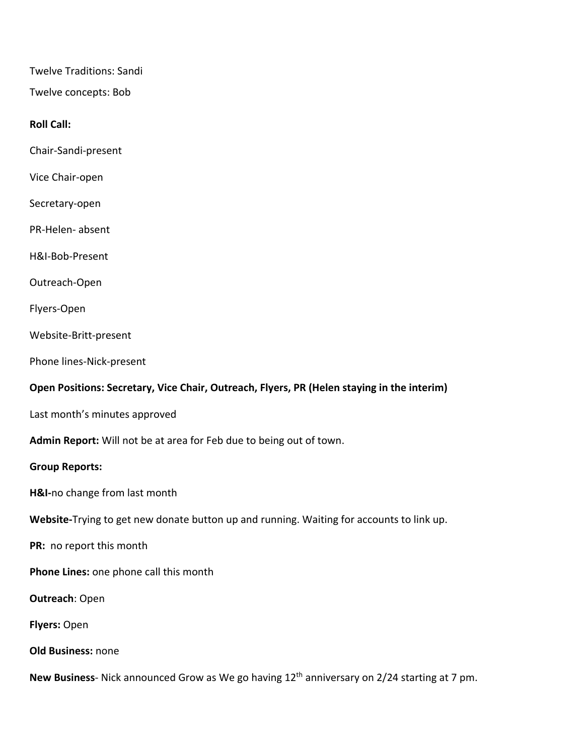Twelve Traditions: Sandi

Twelve concepts: Bob

#### **Roll Call:**

Chair-Sandi-present

Vice Chair-open

Secretary-open

PR-Helen- absent

H&I-Bob-Present

Outreach-Open

Flyers-Open

Website-Britt-present

Phone lines-Nick-present

#### **Open Positions: Secretary, Vice Chair, Outreach, Flyers, PR (Helen staying in the interim)**

Last month's minutes approved

**Admin Report:** Will not be at area for Feb due to being out of town.

#### **Group Reports:**

**H&I-**no change from last month

**Website-**Trying to get new donate button up and running. Waiting for accounts to link up.

**PR:** no report this month

**Phone Lines:** one phone call this month

**Outreach**: Open

**Flyers:** Open

**Old Business:** none

**New Business**- Nick announced Grow as We go having 12th anniversary on 2/24 starting at 7 pm.